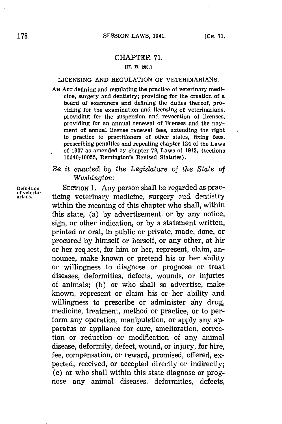## CHAPTER **71.**

## **[H. B. 288.1**

## **LICENSING AND** REGULATION OF **VETERINARIANS.**

**AN ACT** defining and regulating the practice of veterinary medicine, surgery and dentistry; providing for the creation of a board of examiners and defining the duties thereof, providing for the examination and licensing of veterinarians, providing for the suspension and revocation of licenses, providing for an annual renewal of licenses and the payment of annual license renewal fees, extending the right to practice to practitioners of other states, fixing fees, prescribing penalties and repealing chapter 124 of the Laws of **1907** as amended **by** chapter **79,** Laws of **1913,** (sections 10040-10055, Remington's Revised Statutes).

## *Be it enacted by the Legislature of the State of Washington:*

**Definition** SECTION **1.** Any person shall be regarded as prac- **of veterin**ticing veterinary medicine, surgery and dentistry within the meaning of this chapter who shall, within this state, (a) **by** advertisement, or **by** any notice, sign, or other indication, or **by** a statement written, printed or oral, in public or private, made, done, or procured **by** himself or herself, or any other, at his or her req iest, for him or her, represent, claim, announce, make known or pretend his or her ability or willingness to diagnose or prognose or treat diseases, deformities, defects, wounds, or injuries of animals; **(b)** or who shall so advertise, make known, represent or claim his or her ability and willingness to prescribe or administer any drug, medicine, treatment, method or practice, or to perform any operation, manipulation, or apply any apparatus or appliance for cure, amelioration, correction or reduction or modification of any animal disease, deformity, defect, wound, or injury, for hire, fee, compensation, or reward, promised, offered, expected, received, or accepted directly or indirectly; (c) or who shall within this state diagnose or prognose any animal diseases, deformities, defects,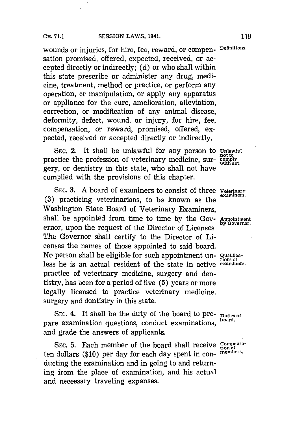wounds or injuries, for hire, fee, reward, or compen- **Definitions.** sation promised, offered, expected, received, or accepted directly or indirectly; **(d)** or who shall within this state prescribe or administer any drug, medicine, treatment, method or practice, or perform any operation, or manipulation, or apply any apparatus or appliance for the cure, amelioration, alleviation, correction, or modification of any animal disease, deformity, defect, wound, or injury, for hire, fee, compensation, or reward, promised, offered, expected, received or accepted directly or indirectly.

**SEC.** 2. It shall be unlawful for any person to **Unlawful** practice the profession of veterinary medicine, sur-<br>with act.<br>with act. gery, or dentistry in this state, who shall not have complied with the provisions of this chapter.

**SEC. 3. A** board of examiners to consist of three **Veterinary** (3) practicing veterinarians, to be known as the Washington State Board of Veterinary Examiners, shall be appointed from time to time **by** the **GOV- Appointment** ernor, upon the request of the Director of Licenses. The Governor shall certify to the Director of Licenses the names of those appointed to said board. No person shall be eligible for such appointment un- Qualifica-<br>tions of less he is an actual resident of the state in active *examiners*. practice of veterinary medicine, surgery and dentistry, has been for a period of five **(5)** years or more legally licensed to practice veterinary medicine, surgery and dentistry in this state.

SEC. 4. It shall be the duty of the board to pre- **Duties of** pare examination questions, conduct examinations, board. and grade the answers of applicants.

SEC. 5. Each member of the board shall receive **Compensa**ten dollars (\$10) per day for each day spent in con- *members*. ducting the examination and in going to and returning from the place of examination, and his actual and necessary traveling expenses.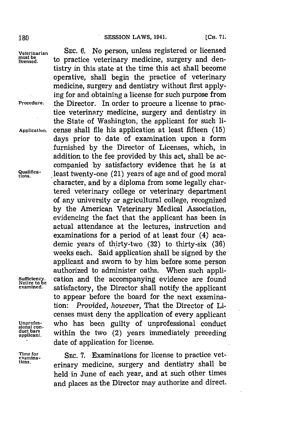Unprofes-<br>sional con-<br>duct bars<br>applicant.

**Veterinarian SEc. 6.** No person, unless registered or licensed must be to practice veterinary medicine, surgery and dentistry in this state at the time this act shall become operative, shall begin the practice of veterinary medicine, surgery and dentistry without first applying for and obtaining a license for such purpose from **Procedure.** the Director. In order to procure a license to practice veterinary medicine, surgery and dentistry in the State of Washington, the applicant for such Ii-**Application.** cense shall file his application at least fifteen **(15)** days prior to date of examination upon a form furnished **by** the Director of Licenses, which, in addition to the fee provided **by** this act, shall be accompanied **by** satisfactory evidence that he is at **9uiiica** least twenty-one (21) years of age and of good moral character, and **by** a diploma from some legally chartered veterinary college or veterinary department of any university or agricultural college, recognized **by** the American Veterinary Medical Association, evidencing the fact that the applicant has been in actual attendance at the lectures, instruction and examinations for a period of at least four (4) academic years of thirty-two (32) to thirty-six (36) weeks each. Said application shall be signed **by** the applicant and sworn to **by** him before some person authorized to administer oaths. When such appli-Sufficiency. cation and the accompanying evidence are found<br> **such a set of a set of a contract of a** cannot examined. satisfactory, the Director shall notify the annicant satisfactory, the Director shall notify the applicant to appear before the board for the next examination: *Provided, however,* That the Director of Licenses must deny the application of every applicant who has been guilty of unprofessional conduct within the two  $(2)$  years immediately preceding date of application for license.

**Time for SEC. 7.** Examinations for license to practice vetexamina-<br>tions. **erinary medicine, surgery and dentistry shall be**<br>because the surgery and dentistry shall be held in June of each year, and at such other times and places as the Director may authorize and direct.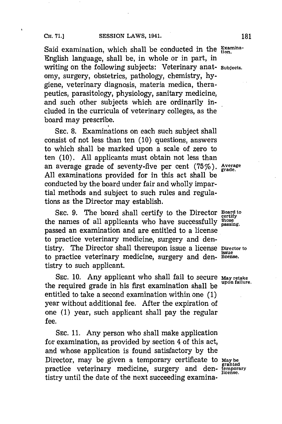Said examination, which shall be conducted in the **Examina-**English language, shall be, in whole or in part, in writing on the following subjects: Veterinary anat- **Subjects.** omy, surgery, obstetrics, pathology, chemistry, **hy**giene, veterinary diagnosis, materia medica, therapeutics, parasitology, physiology, sanitary medicine, and such other subjects which are ordinarily included in the curricula of veterinary colleges, as the board may prescribe.

**SEC. 8.** Examinations on each such subject shall consist of not less than ten **(10)** questions, answers to which shall be marked upon a scale of zero to ten **(10). All** applicants must obtain not less than an average grade of seventy-five per cent (75%). **Average All** examinations provided for in this act shall be conducted **by** the board under fair and wholly impartial methods and subject to such rules and regulations as the Director may establish.

**SEC. 9.** The board shall certify to the Director **Board to certify** the names of all applicants who have successfully **those** passed an examination and are entitled to a license to practice veterinary medicine, surgery and dentistry. The Director shall thereupon issue a license **Director** to to practice veterinary medicine, surgery and den- **license.** tistry to such applicant.

**SEC. 10.** Any applicant who shall fail to secure **May retake** the required grade in his first examination shall be **upon failure.** entitled to take a second examination within one **(1)** year without additional fee. After the expiration of one **(1)** year, such applicant shall pay the regular fee.

**SEC. 11.** Any person who shall make application for examination, as provided **by** section 4 of this act, and whose application is found satisfactory **by** the Director, may be given a temporary certificate to **May be** <sup>g</sup>**ranted** practice veterinary medicine, surgery and den- **temporary** tistry until the date of the next succeeding examina-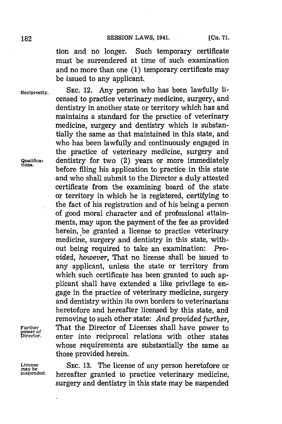tion and no longer. Such temporary certificate must be surrendered at time of such examination and no more than one **(1)** temporary certificate may be issued to any applicant.

censed to practice veterinary medicine, surgery, and dentistry in another state or territory which has and maintains a standard for the practice of veterinary medicine, surgery and dentistry which is substantially the same as that maintained in this state, and who has been lawfully and continuously engaged in the practice of veterinary medicine, surgery and

**On.** before filing his application to practice in this state and who shall submit to the Director a duly attested certificate from the examining board of the state or territory in which he is registered, certifying to the fact of his registration and of his being a person of good moral character and of professional attainments, may upon the payment of the fee as provided herein, be granted a license to practice veterinary medicine, surgery and dentistry in this state, without being required to take an examination: *Provided, however,* That no license shall be issued to any applicant, unless the state or territory from which such certificate has been granted to such applicant shall have extended a like privilege to engage in the practice of veterinary medicine, surgery and dentistry within its own borders to veterinarians heretofore and hereafter licensed **by** this state, and removing to such other state: *And provided further,*

**Reciprocity. SEc.** 12. Any person who has been lawfully li-

**1ua11 fica-** dentistry for two (2) years or more immediately

**Further That the Director of Licenses shall have power to power to a property and the property of**  $\frac{1}{2}$ 

**License SEC. 13.** The license of any person heretofore or **inay be suspended.** hereafter granted to practice veterinary medicine, surgery and dentistry in this state may be suspended

enter into reciprocal relations with other states whose requirements are substantially the same as

those provided herein.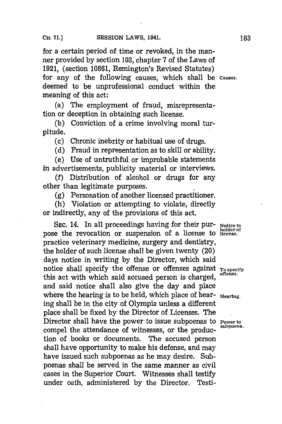for a certain period of time or revoked, in the manner provided **by** section **103,** chapter **7** of the Laws of **1921,** (section **10861,** Remington's Revised Statutes) for any of the following causes, which shall be **causes,** deemed to be unprofessional conduct within the meaning of this act:

(a) The employment of fraud, misrepresentation or deception in obtaining such license.

**(b)** Conviction of a crime involving moral turpitude.

**(c)** Chronic inebrity or habitual use of drugs.

**(d)** Fraud in representation as to skill or ability.

(e) Use of untruthful or improbable statements in advertisements, publicity material or interviews.

**(f)** Distribution of alcohol or drugs for any other than legitimate purposes.

*(g)* \*Personation of another licensed practitioner.

(h) Violation or attempting to violate, directly or indirectly, any of the provisions of this act.

SEC. 14. In all proceedings having for their pur- **Notice to**<br>pose the revocation or suspension of a license to license. practice veterinary medicine, surgery and dentistry, the holder of such license shall be given twenty (20) days notice in writing **by** the Director, which said notice shall specify the offense or offenses against **To specify**<br>notice shall specify the offense or offenses this act with which said accused person is charged, and said notice shall also give the day and place where the hearing is to be held, which place of hear- Hearing. ing shall be in the city of Olympia unless a different place shall be fixed **by** the Director of Licenses. The Director shall have the power to issue subpoenas to **Power to** subpoena. compel the attendance of witnesses, or the production of books or documents. The accused person shall have opportunity to make his defense, and may have issued such subpoenas as he may desire. Subpoenas shall be served in the same manner as civil cases in the Superior Court. Witnesses shall testify under oath, administered **by** the Director. Testi-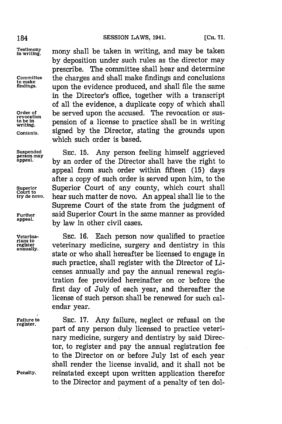**Superior<br>Court to<br>try de novo.** 

**Veterina-. SEC. 16.** Each person now qualified to practice rians to<br>register **veterinary medicine, surgery and dentistry in this**<br>annually. state or who shall hereafter be licensed to engage in such practice, shall register with the Director of Licenses annually and pay the annual renewal registration fee provided hereinafter on or before the first day of July of each year, and thereafter the license of such person shall be renewed for such calendar year.

Testimony mony shall be taken in writing, and may be taken **by** deposition under such rules as the director may prescribe. The committee shall hear and determine **Conmmittee** the charges and shall make findings and conclusions **findings,** upon the evidence produced, and shall file the same in the Director's office, together with a transcript of all the evidence, a duplicate copy of which shall Order of **be served upon the accused.** The revocation or sus-<br>revocation **property** population of a license to practice shall be in uniting to be in **pension** of a license to practice shall be in writing **Contents,** signed **by** the Director, stating the grounds upon which such order is based.

**Suspended SEC. 15.** Any person feeling himself aggrieved **person may appeal. by** an order of the Director shall have the right to appeal from such order within fifteen **(15)** days after a copy of such order is served upon him, to the Superior Court of any county, which court shall hear such matter de novo. An appeal shall lie to the Supreme Court of the state from the judgment of **Further** said Superior Court in the same manner as provided by law in other civil cases.

Failure to SEC. 17. Any failure, neglect or refusal on the register. part of any person duly licensed to practice veterinary medicine, surgery and dentistry **by** said Director, to register and pay the annual registration fee to the Director on or before July 1st of each year shall render the license invalid, and it shall not be **Penalty,** reinstated except upon written application therefor to the Director and payment of a penalty of ten dol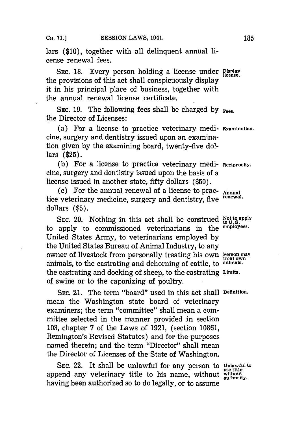lars **(\$10),** together with all delinquent annual license renewal fees.

SEC. 18. Every person holding a license under **Display** the provisions of this act shall conspicuously display it in his principal place of business, together with the annual renewal license certificate.

SEC. 19. The following fees shall be charged by  $_{\text{Fees.}}$ the Director of Licenses:

(a) For a license to practice veterinary medi- **Examination.** cine, surgery and dentistry issued upon an examination given **by** the examining board, twenty-five dollars **(\$25).**

**(b)** For a license to practice veterinary medi- **Reciprocity.** cine, surgery and dentistry issued upon the basis of a license issued in another state, fifty dollars **(\$50).**

(c) For the annual renewal of a license to prac- **Annual** tice veterinary medicine, surgery and dentistry, five **renewal.** dollars **(\$5).**

SEC. 20. Nothing in this act shall be construed **Not to apply** to apply to commissioned veterinarians in the **employees.** United States Army, to veterinarians employed **by** the United States Bureau of Animal Industry, to any owner of livestock from personally treating his own **Person may** animals, to the castrating and dehorning of cattle, to **animnals.** the castrating and docking of sheep, to the castrating **Limnits.** of swine or to the caponizing of poultry.

**SEC.** 21. The term "board" used in this act shall **Definition.** mean the Washington state board of veterinary examiners; the term "committee" shall mean a committee selected in the manner provided in section **103,** chapter **7** of the Laws of **1921,** (section **10861,** Remington's Revised Statutes) and for the purposes named therein; and the term "Director" shall mean the Director of Licenses of the State of Washington.

SEC. 22. It shall be unlawful for any person to Unlawful to append any veterinary title to his name, without **without authority.** having been authorized so to do legally, or to assume